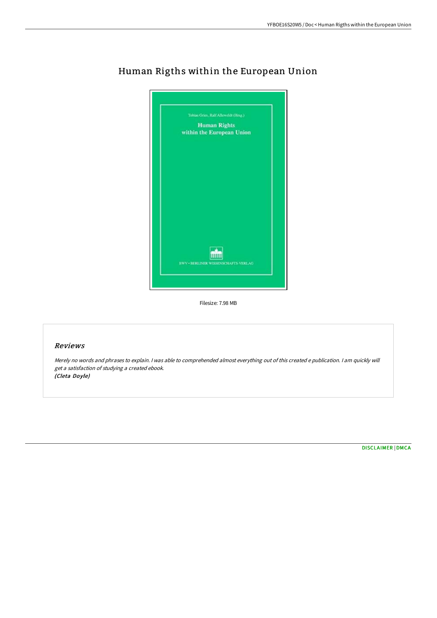

## Human Rigths within the European Union

Filesize: 7.98 MB

## Reviews

Merely no words and phrases to explain. <sup>I</sup> was able to comprehended almost everything out of this created <sup>e</sup> publication. <sup>I</sup> am quickly will get <sup>a</sup> satisfaction of studying <sup>a</sup> created ebook. (Cleta Doyle)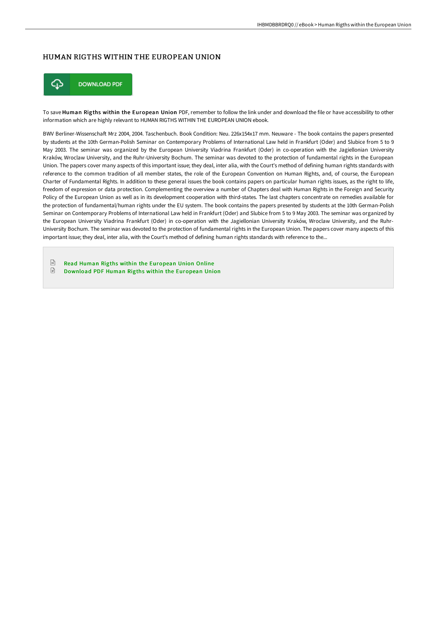## HUMAN RIGTHS WITHIN THE EUROPEAN UNION



To save Human Rigths within the European Union PDF, remember to follow the link under and download the file or have accessibility to other information which are highly relevant to HUMAN RIGTHS WITHIN THE EUROPEAN UNION ebook.

BWV Berliner-Wissenschaft Mrz 2004, 2004. Taschenbuch. Book Condition: Neu. 226x154x17 mm. Neuware - The book contains the papers presented by students at the 10th German-Polish Seminar on Contemporary Problems of International Law held in Frankfurt (Oder) and Slubice from 5 to 9 May 2003. The seminar was organized by the European University Viadrina Frankfurt (Oder) in co-operation with the Jagiellonian University Kraków, Wroclaw University, and the Ruhr-University Bochum. The seminar was devoted to the protection of fundamental rights in the European Union. The papers cover many aspects of this important issue; they deal, inter alia, with the Court's method of defining human rights standards with reference to the common tradition of all member states, the role of the European Convention on Human Rights, and, of course, the European Charter of Fundamental Rights. In addition to these general issues the book contains papers on particular human rights issues, as the right to life, freedom of expression or data protection. Complementing the overview a number of Chapters deal with Human Rights in the Foreign and Security Policy of the European Union as well as in its development cooperation with third-states. The last chapters concentrate on remedies available for the protection of fundamental/human rights under the EU system. The book contains the papers presented by students at the 10th German-Polish Seminar on Contemporary Problems of International Law held in Frankfurt (Oder) and Slubice from 5 to 9 May 2003. The seminar was organized by the European University Viadrina Frankfurt (Oder) in co-operation with the Jagiellonian University Kraków, Wroclaw University, and the Ruhr-University Bochum. The seminar was devoted to the protection of fundamental rights in the European Union. The papers cover many aspects of this important issue; they deal, inter alia, with the Court's method of defining human rights standards with reference to the...

 $\boxed{m}$ Read Human Rigths within the [European](http://techno-pub.tech/human-rigths-within-the-european-union.html) Union Online  $\ensuremath{\mathop\square}$ [Download](http://techno-pub.tech/human-rigths-within-the-european-union.html) PDF Human Rigths within the European Union